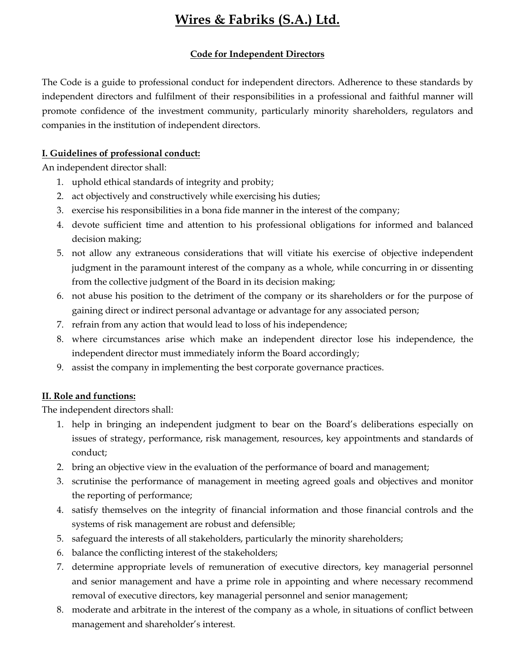### Code for Independent Directors

The Code is a guide to professional conduct for independent directors. Adherence to these standards by independent directors and fulfilment of their responsibilities in a professional and faithful manner will promote confidence of the investment community, particularly minority shareholders, regulators and companies in the institution of independent directors.

### I. Guidelines of professional conduct:

An independent director shall:

- 1. uphold ethical standards of integrity and probity;
- 2. act objectively and constructively while exercising his duties;
- 3. exercise his responsibilities in a bona fide manner in the interest of the company;
- 4. devote sufficient time and attention to his professional obligations for informed and balanced decision making;
- 5. not allow any extraneous considerations that will vitiate his exercise of objective independent judgment in the paramount interest of the company as a whole, while concurring in or dissenting from the collective judgment of the Board in its decision making;
- 6. not abuse his position to the detriment of the company or its shareholders or for the purpose of gaining direct or indirect personal advantage or advantage for any associated person;
- 7. refrain from any action that would lead to loss of his independence;
- 8. where circumstances arise which make an independent director lose his independence, the independent director must immediately inform the Board accordingly;
- 9. assist the company in implementing the best corporate governance practices.

### II. Role and functions:

The independent directors shall:

- 1. help in bringing an independent judgment to bear on the Board's deliberations especially on issues of strategy, performance, risk management, resources, key appointments and standards of conduct;
- 2. bring an objective view in the evaluation of the performance of board and management;
- 3. scrutinise the performance of management in meeting agreed goals and objectives and monitor the reporting of performance;
- 4. satisfy themselves on the integrity of financial information and those financial controls and the systems of risk management are robust and defensible;
- 5. safeguard the interests of all stakeholders, particularly the minority shareholders;
- 6. balance the conflicting interest of the stakeholders;
- 7. determine appropriate levels of remuneration of executive directors, key managerial personnel and senior management and have a prime role in appointing and where necessary recommend removal of executive directors, key managerial personnel and senior management;
- 8. moderate and arbitrate in the interest of the company as a whole, in situations of conflict between management and shareholder's interest.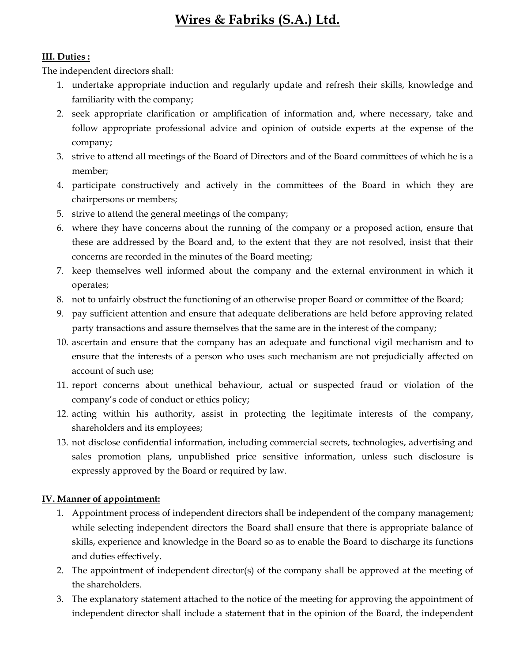### III. Duties :

The independent directors shall:

- 1. undertake appropriate induction and regularly update and refresh their skills, knowledge and familiarity with the company;
- 2. seek appropriate clarification or amplification of information and, where necessary, take and follow appropriate professional advice and opinion of outside experts at the expense of the company;
- 3. strive to attend all meetings of the Board of Directors and of the Board committees of which he is a member;
- 4. participate constructively and actively in the committees of the Board in which they are chairpersons or members;
- 5. strive to attend the general meetings of the company;
- 6. where they have concerns about the running of the company or a proposed action, ensure that these are addressed by the Board and, to the extent that they are not resolved, insist that their concerns are recorded in the minutes of the Board meeting;
- 7. keep themselves well informed about the company and the external environment in which it operates;
- 8. not to unfairly obstruct the functioning of an otherwise proper Board or committee of the Board;
- 9. pay sufficient attention and ensure that adequate deliberations are held before approving related party transactions and assure themselves that the same are in the interest of the company;
- 10. ascertain and ensure that the company has an adequate and functional vigil mechanism and to ensure that the interests of a person who uses such mechanism are not prejudicially affected on account of such use;
- 11. report concerns about unethical behaviour, actual or suspected fraud or violation of the company's code of conduct or ethics policy;
- 12. acting within his authority, assist in protecting the legitimate interests of the company, shareholders and its employees;
- 13. not disclose confidential information, including commercial secrets, technologies, advertising and sales promotion plans, unpublished price sensitive information, unless such disclosure is expressly approved by the Board or required by law.

### IV. Manner of appointment:

- 1. Appointment process of independent directors shall be independent of the company management; while selecting independent directors the Board shall ensure that there is appropriate balance of skills, experience and knowledge in the Board so as to enable the Board to discharge its functions and duties effectively.
- 2. The appointment of independent director(s) of the company shall be approved at the meeting of the shareholders.
- 3. The explanatory statement attached to the notice of the meeting for approving the appointment of independent director shall include a statement that in the opinion of the Board, the independent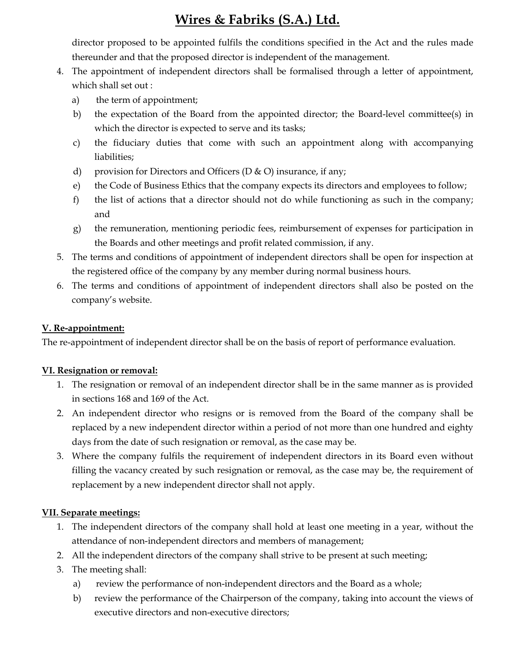director proposed to be appointed fulfils the conditions specified in the Act and the rules made thereunder and that the proposed director is independent of the management.

- 4. The appointment of independent directors shall be formalised through a letter of appointment, which shall set out :
	- a) the term of appointment;
	- b) the expectation of the Board from the appointed director; the Board-level committee(s) in which the director is expected to serve and its tasks;
	- c) the fiduciary duties that come with such an appointment along with accompanying liabilities;
	- d) provision for Directors and Officers (D  $\&$  O) insurance, if any;
	- e) the Code of Business Ethics that the company expects its directors and employees to follow;
	- f) the list of actions that a director should not do while functioning as such in the company; and
	- g) the remuneration, mentioning periodic fees, reimbursement of expenses for participation in the Boards and other meetings and profit related commission, if any.
- 5. The terms and conditions of appointment of independent directors shall be open for inspection at the registered office of the company by any member during normal business hours.
- 6. The terms and conditions of appointment of independent directors shall also be posted on the company's website.

#### V. Re-appointment:

The re-appointment of independent director shall be on the basis of report of performance evaluation.

#### VI. Resignation or removal:

- 1. The resignation or removal of an independent director shall be in the same manner as is provided in sections 168 and 169 of the Act.
- 2. An independent director who resigns or is removed from the Board of the company shall be replaced by a new independent director within a period of not more than one hundred and eighty days from the date of such resignation or removal, as the case may be.
- 3. Where the company fulfils the requirement of independent directors in its Board even without filling the vacancy created by such resignation or removal, as the case may be, the requirement of replacement by a new independent director shall not apply.

### VII. Separate meetings:

- 1. The independent directors of the company shall hold at least one meeting in a year, without the attendance of non-independent directors and members of management;
- 2. All the independent directors of the company shall strive to be present at such meeting;
- 3. The meeting shall:
	- a) review the performance of non-independent directors and the Board as a whole;
	- b) review the performance of the Chairperson of the company, taking into account the views of executive directors and non-executive directors;